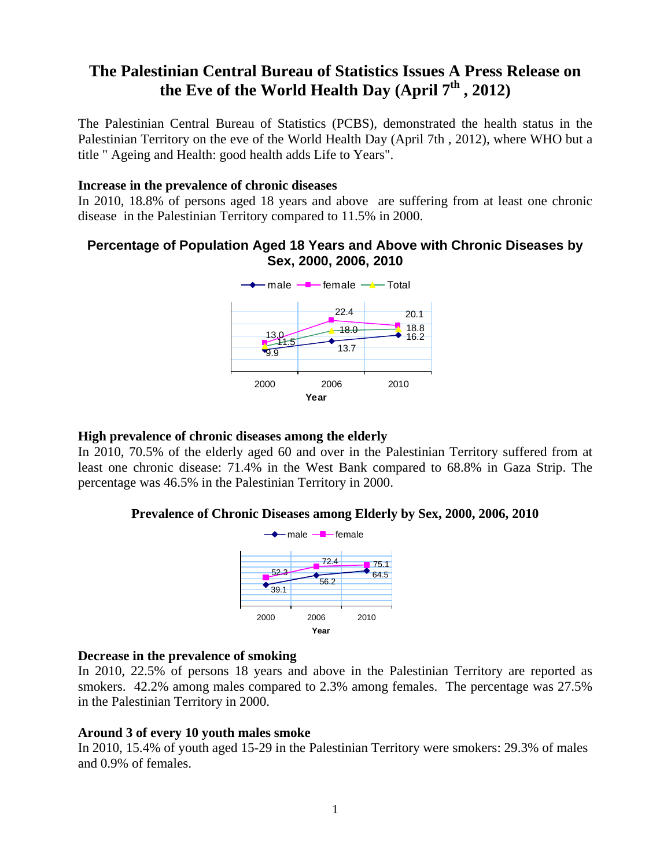# **The Palestinian Central Bureau of Statistics Issues A Press Release on**  the Eve of the World Health Day (April 7<sup>th</sup>, 2012)

The Palestinian Central Bureau of Statistics (PCBS), demonstrated the health status in the Palestinian Territory on the eve of the World Health Day (April 7th , 2012), where WHO but a title " Ageing and Health: good health adds Life to Years".

## **Increase in the prevalence of chronic diseases**

In 2010, 18.8% of persons aged 18 years and above are suffering from at least one chronic disease in the Palestinian Territory compared to 11.5% in 2000.

# **Percentage of Population Aged 18 Years and Above with Chronic Diseases by Sex, 2000, 2006, 2010**



## **High prevalence of chronic diseases among the elderly**

In 2010, 70.5% of the elderly aged 60 and over in the Palestinian Territory suffered from at least one chronic disease: 71.4% in the West Bank compared to 68.8% in Gaza Strip. The percentage was 46.5% in the Palestinian Territory in 2000.

## **Prevalence of Chronic Diseases among Elderly by Sex, 2000, 2006, 2010**



## **Decrease in the prevalence of smoking**

In 2010, 22.5% of persons 18 years and above in the Palestinian Territory are reported as smokers. 42.2% among males compared to 2.3% among females. The percentage was 27.5% in the Palestinian Territory in 2000.

## **Around 3 of every 10 youth males smoke**

In 2010, 15.4% of youth aged 15-29 in the Palestinian Territory were smokers: 29.3% of males and 0.9% of females.